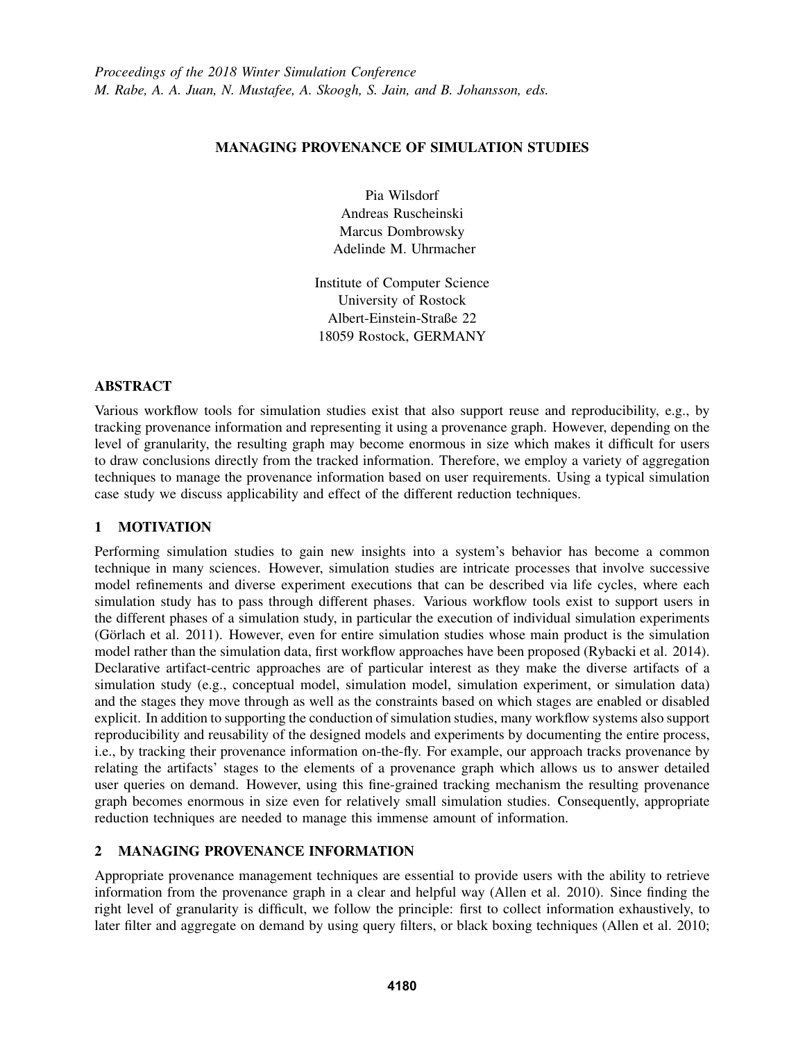## MANAGING PROVENANCE OF SIMULATION STUDIES

Pia Wilsdorf Andreas Ruscheinski Marcus Dombrowsky Adelinde M. Uhrmacher

Institute of Computer Science University of Rostock Albert-Einstein-Straße 22 18059 Rostock, GERMANY

## ABSTRACT

Various workflow tools for simulation studies exist that also support reuse and reproducibility, e.g., by tracking provenance information and representing it using a provenance graph. However, depending on the level of granularity, the resulting graph may become enormous in size which makes it difficult for users to draw conclusions directly from the tracked information. Therefore, we employ a variety of aggregation techniques to manage the provenance information based on user requirements. Using a typical simulation case study we discuss applicability and effect of the different reduction techniques.

# 1 MOTIVATION

Performing simulation studies to gain new insights into a system's behavior has become a common technique in many sciences. However, simulation studies are intricate processes that involve successive model refinements and diverse experiment executions that can be described via life cycles, where each simulation study has to pass through different phases. Various workflow tools exist to support users in the different phases of a simulation study, in particular the execution of individual simulation experiments (Görlach et al. 2011). However, even for entire simulation studies whose main product is the simulation model rather than the simulation data, first workflow approaches have been proposed (Rybacki et al. 2014). Declarative artifact-centric approaches are of particular interest as they make the diverse artifacts of a simulation study (e.g., conceptual model, simulation model, simulation experiment, or simulation data) and the stages they move through as well as the constraints based on which stages are enabled or disabled explicit. In addition to supporting the conduction of simulation studies, many workflow systems also support reproducibility and reusability of the designed models and experiments by documenting the entire process, i.e., by tracking their provenance information on-the-fly. For example, our approach tracks provenance by relating the artifacts' stages to the elements of a provenance graph which allows us to answer detailed user queries on demand. However, using this fine-grained tracking mechanism the resulting provenance graph becomes enormous in size even for relatively small simulation studies. Consequently, appropriate reduction techniques are needed to manage this immense amount of information.

### 2 MANAGING PROVENANCE INFORMATION

Appropriate provenance management techniques are essential to provide users with the ability to retrieve information from the provenance graph in a clear and helpful way (Allen et al. 2010). Since finding the right level of granularity is difficult, we follow the principle: first to collect information exhaustively, to later filter and aggregate on demand by using query filters, or black boxing techniques (Allen et al. 2010;